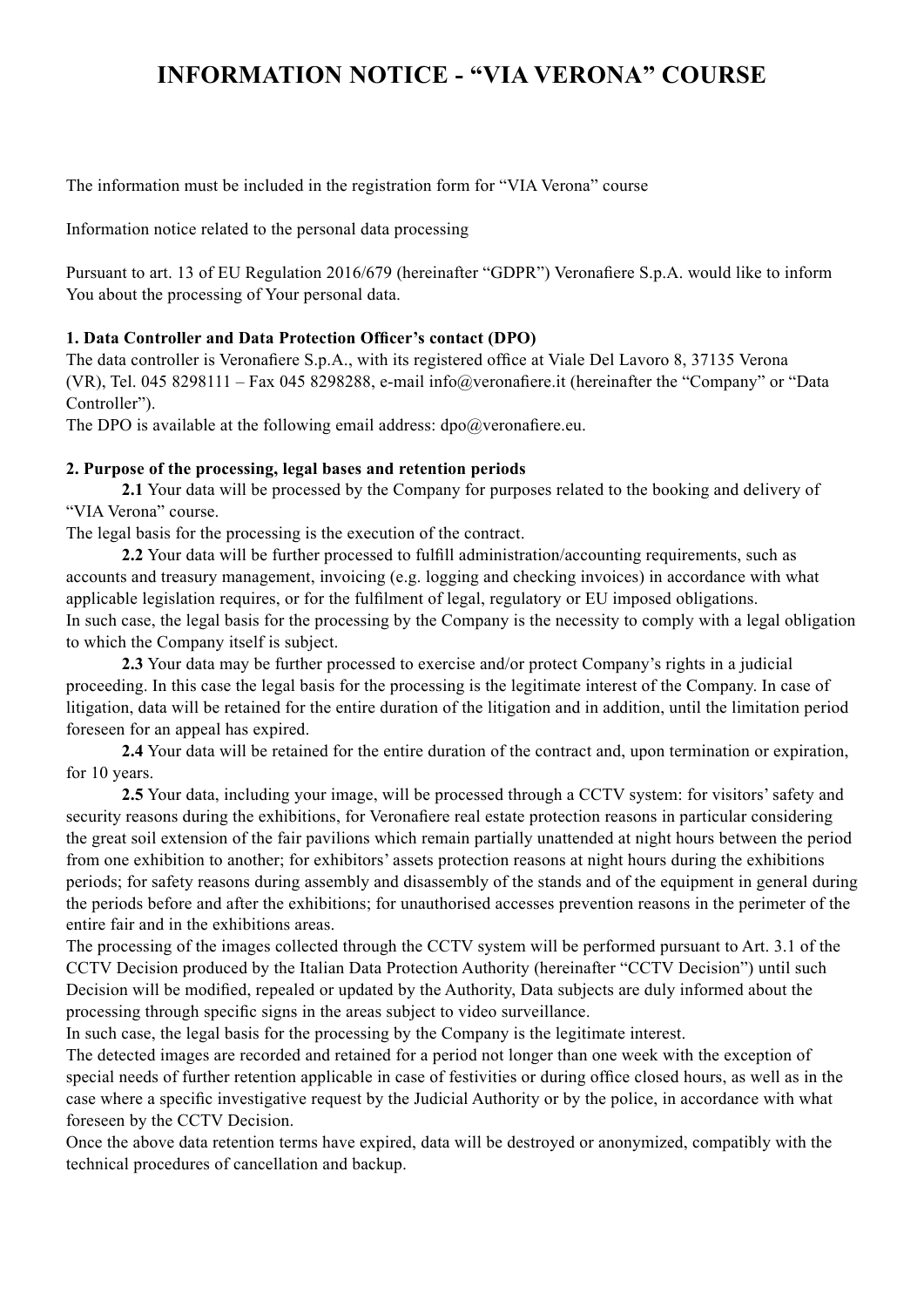# **INFORMATION NOTICE - "VIA VERONA" COURSE**

The information must be included in the registration form for "VIA Verona" course

Information notice related to the personal data processing

Pursuant to art. 13 of EU Regulation 2016/679 (hereinafter "GDPR") Veronafiere S.p.A. would like to inform You about the processing of Your personal data.

## **1. Data Controller and Data Protection Officer's contact (DPO)**

The data controller is Veronafiere S.p.A., with its registered office at Viale Del Lavoro 8, 37135 Verona (VR), Tel. 045 8298111 – Fax 045 8298288, e-mail info@veronafiere.it (hereinafter the "Company" or "Data Controller").

The DPO is available at the following email address:  $dpo@veronafiere.eu$ .

### **2. Purpose of the processing, legal bases and retention periods**

**2.1** Your data will be processed by the Company for purposes related to the booking and delivery of "VIA Verona" course.

The legal basis for the processing is the execution of the contract.

**2.2** Your data will be further processed to fulfill administration/accounting requirements, such as accounts and treasury management, invoicing (e.g. logging and checking invoices) in accordance with what applicable legislation requires, or for the fulfilment of legal, regulatory or EU imposed obligations. In such case, the legal basis for the processing by the Company is the necessity to comply with a legal obligation to which the Company itself is subject.

**2.3** Your data may be further processed to exercise and/or protect Company's rights in a judicial proceeding. In this case the legal basis for the processing is the legitimate interest of the Company. In case of litigation, data will be retained for the entire duration of the litigation and in addition, until the limitation period foreseen for an appeal has expired.

**2.4** Your data will be retained for the entire duration of the contract and, upon termination or expiration, for 10 years.

**2.5** Your data, including your image, will be processed through a CCTV system: for visitors' safety and security reasons during the exhibitions, for Veronafiere real estate protection reasons in particular considering the great soil extension of the fair pavilions which remain partially unattended at night hours between the period from one exhibition to another; for exhibitors' assets protection reasons at night hours during the exhibitions periods; for safety reasons during assembly and disassembly of the stands and of the equipment in general during the periods before and after the exhibitions; for unauthorised accesses prevention reasons in the perimeter of the entire fair and in the exhibitions areas.

The processing of the images collected through the CCTV system will be performed pursuant to Art. 3.1 of the CCTV Decision produced by the Italian Data Protection Authority (hereinafter "CCTV Decision") until such Decision will be modified, repealed or updated by the Authority, Data subjects are duly informed about the processing through specific signs in the areas subject to video surveillance.

In such case, the legal basis for the processing by the Company is the legitimate interest.

The detected images are recorded and retained for a period not longer than one week with the exception of special needs of further retention applicable in case of festivities or during office closed hours, as well as in the case where a specific investigative request by the Judicial Authority or by the police, in accordance with what foreseen by the CCTV Decision.

Once the above data retention terms have expired, data will be destroyed or anonymized, compatibly with the technical procedures of cancellation and backup.